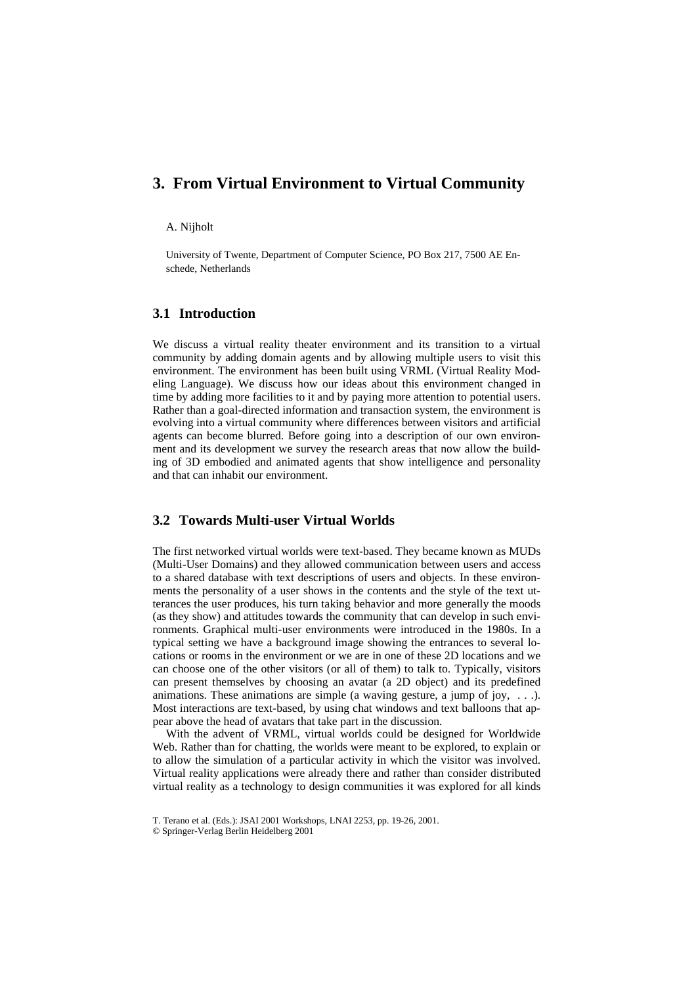## **3. From Virtual Environment to Virtual Community**

#### A. Nijholt

University of Twente, Department of Computer Science, PO Box 217, 7500 AE Enschede, Netherlands

### **3.1 Introduction**

We discuss a virtual reality theater environment and its transition to a virtual community by adding domain agents and by allowing multiple users to visit this environment. The environment has been built using VRML (Virtual Reality Modeling Language). We discuss how our ideas about this environment changed in time by adding more facilities to it and by paying more attention to potential users. Rather than a goal-directed information and transaction system, the environment is evolving into a virtual community where differences between visitors and artificial agents can become blurred. Before going into a description of our own environment and its development we survey the research areas that now allow the building of 3D embodied and animated agents that show intelligence and personality and that can inhabit our environment.

## **3.2 Towards Multi-user Virtual Worlds**

The first networked virtual worlds were text-based. They became known as MUDs (Multi-User Domains) and they allowed communication between users and access to a shared database with text descriptions of users and objects. In these environments the personality of a user shows in the contents and the style of the text utterances the user produces, his turn taking behavior and more generally the moods (as they show) and attitudes towards the community that can develop in such environments. Graphical multi-user environments were introduced in the 1980s. In a typical setting we have a background image showing the entrances to several locations or rooms in the environment or we are in one of these 2D locations and we can choose one of the other visitors (or all of them) to talk to. Typically, visitors can present themselves by choosing an avatar (a 2D object) and its predefined animations. These animations are simple (a waving gesture, a jump of joy,  $\dots$ ). Most interactions are text-based, by using chat windows and text balloons that appear above the head of avatars that take part in the discussion.

With the advent of VRML, virtual worlds could be designed for Worldwide Web. Rather than for chatting, the worlds were meant to be explored, to explain or to allow the simulation of a particular activity in which the visitor was involved. Virtual reality applications were already there and rather than consider distributed virtual reality as a technology to design communities it was explored for all kinds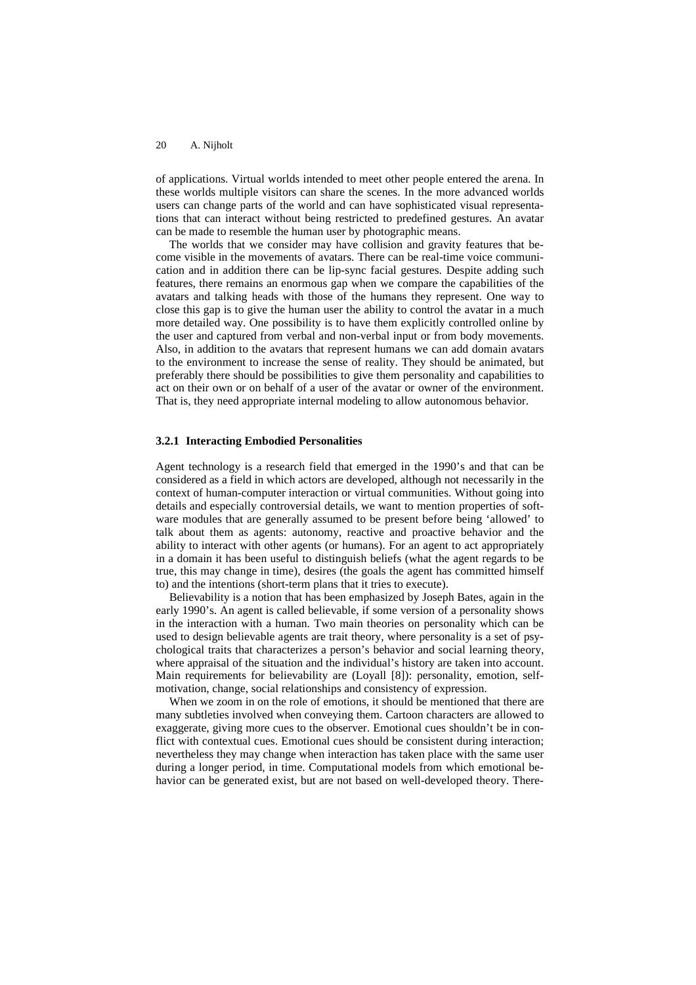of applications. Virtual worlds intended to meet other people entered the arena. In these worlds multiple visitors can share the scenes. In the more advanced worlds users can change parts of the world and can have sophisticated visual representations that can interact without being restricted to predefined gestures. An avatar can be made to resemble the human user by photographic means.

The worlds that we consider may have collision and gravity features that become visible in the movements of avatars. There can be real-time voice communication and in addition there can be lip-sync facial gestures. Despite adding such features, there remains an enormous gap when we compare the capabilities of the avatars and talking heads with those of the humans they represent. One way to close this gap is to give the human user the ability to control the avatar in a much more detailed way. One possibility is to have them explicitly controlled online by the user and captured from verbal and non-verbal input or from body movements. Also, in addition to the avatars that represent humans we can add domain avatars to the environment to increase the sense of reality. They should be animated, but preferably there should be possibilities to give them personality and capabilities to act on their own or on behalf of a user of the avatar or owner of the environment. That is, they need appropriate internal modeling to allow autonomous behavior.

#### **3.2.1 Interacting Embodied Personalities**

Agent technology is a research field that emerged in the 1990's and that can be considered as a field in which actors are developed, although not necessarily in the context of human-computer interaction or virtual communities. Without going into details and especially controversial details, we want to mention properties of software modules that are generally assumed to be present before being 'allowed' to talk about them as agents: autonomy, reactive and proactive behavior and the ability to interact with other agents (or humans). For an agent to act appropriately in a domain it has been useful to distinguish beliefs (what the agent regards to be true, this may change in time), desires (the goals the agent has committed himself to) and the intentions (short-term plans that it tries to execute).

Believability is a notion that has been emphasized by Joseph Bates, again in the early 1990's. An agent is called believable, if some version of a personality shows in the interaction with a human. Two main theories on personality which can be used to design believable agents are trait theory, where personality is a set of psychological traits that characterizes a person's behavior and social learning theory, where appraisal of the situation and the individual's history are taken into account. Main requirements for believability are (Loyall [8]): personality, emotion, selfmotivation, change, social relationships and consistency of expression.

When we zoom in on the role of emotions, it should be mentioned that there are many subtleties involved when conveying them. Cartoon characters are allowed to exaggerate, giving more cues to the observer. Emotional cues shouldn't be in conflict with contextual cues. Emotional cues should be consistent during interaction; nevertheless they may change when interaction has taken place with the same user during a longer period, in time. Computational models from which emotional behavior can be generated exist, but are not based on well-developed theory. There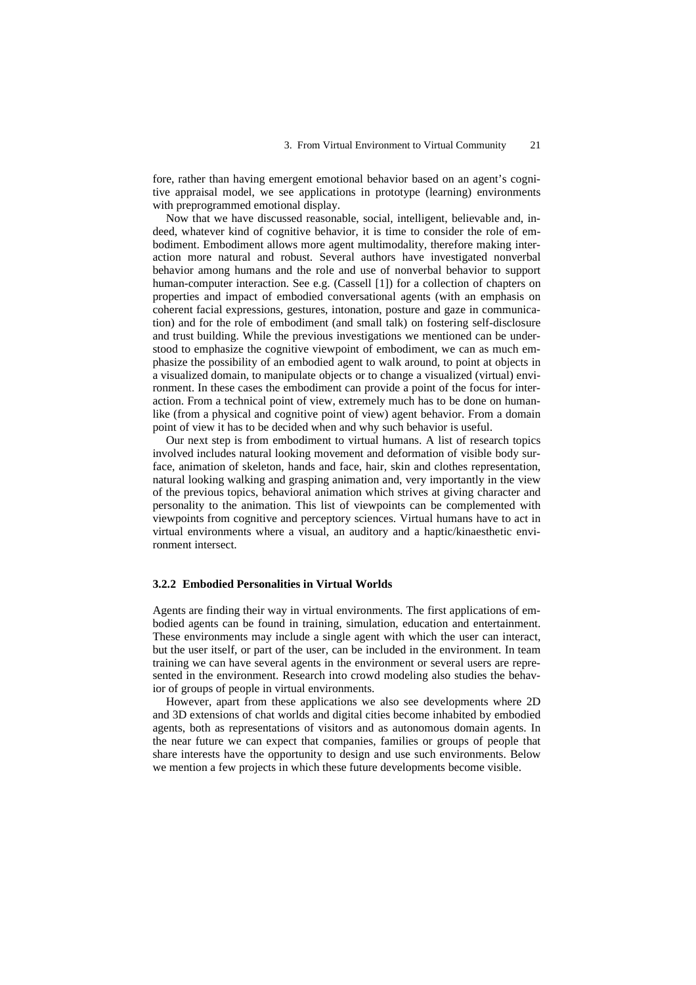fore, rather than having emergent emotional behavior based on an agent's cognitive appraisal model, we see applications in prototype (learning) environments with preprogrammed emotional display.

Now that we have discussed reasonable, social, intelligent, believable and, indeed, whatever kind of cognitive behavior, it is time to consider the role of embodiment. Embodiment allows more agent multimodality, therefore making interaction more natural and robust. Several authors have investigated nonverbal behavior among humans and the role and use of nonverbal behavior to support human-computer interaction. See e.g. (Cassell [1]) for a collection of chapters on properties and impact of embodied conversational agents (with an emphasis on coherent facial expressions, gestures, intonation, posture and gaze in communication) and for the role of embodiment (and small talk) on fostering self-disclosure and trust building. While the previous investigations we mentioned can be understood to emphasize the cognitive viewpoint of embodiment, we can as much emphasize the possibility of an embodied agent to walk around, to point at objects in a visualized domain, to manipulate objects or to change a visualized (virtual) environment. In these cases the embodiment can provide a point of the focus for interaction. From a technical point of view, extremely much has to be done on humanlike (from a physical and cognitive point of view) agent behavior. From a domain point of view it has to be decided when and why such behavior is useful.

Our next step is from embodiment to virtual humans. A list of research topics involved includes natural looking movement and deformation of visible body surface, animation of skeleton, hands and face, hair, skin and clothes representation, natural looking walking and grasping animation and, very importantly in the view of the previous topics, behavioral animation which strives at giving character and personality to the animation. This list of viewpoints can be complemented with viewpoints from cognitive and perceptory sciences. Virtual humans have to act in virtual environments where a visual, an auditory and a haptic/kinaesthetic environment intersect.

#### **3.2.2 Embodied Personalities in Virtual Worlds**

Agents are finding their way in virtual environments. The first applications of embodied agents can be found in training, simulation, education and entertainment. These environments may include a single agent with which the user can interact, but the user itself, or part of the user, can be included in the environment. In team training we can have several agents in the environment or several users are represented in the environment. Research into crowd modeling also studies the behavior of groups of people in virtual environments.

However, apart from these applications we also see developments where 2D and 3D extensions of chat worlds and digital cities become inhabited by embodied agents, both as representations of visitors and as autonomous domain agents. In the near future we can expect that companies, families or groups of people that share interests have the opportunity to design and use such environments. Below we mention a few projects in which these future developments become visible.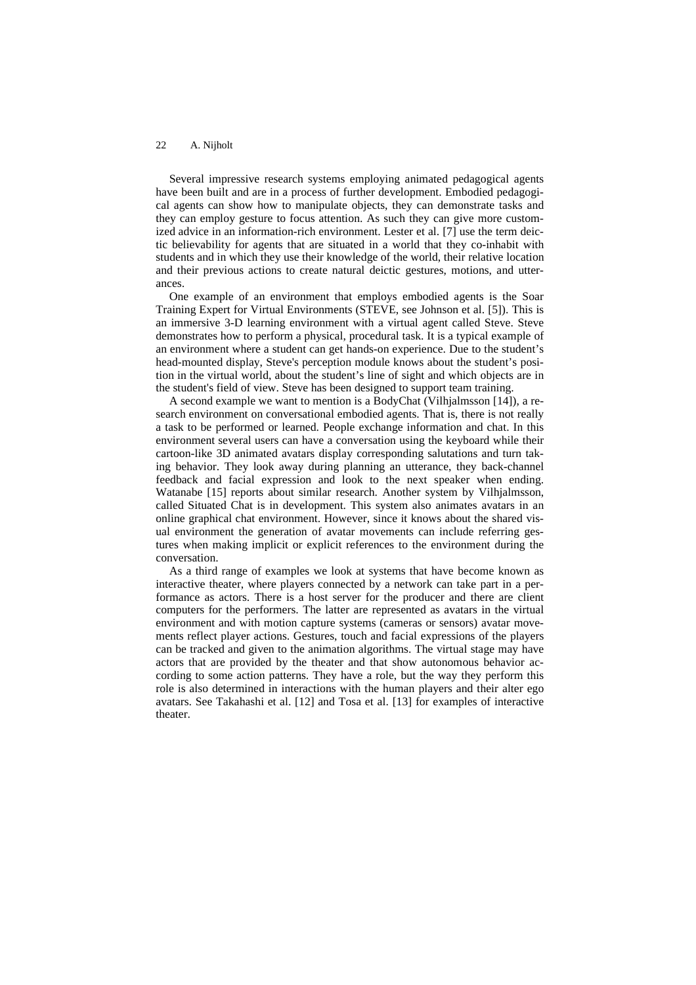Several impressive research systems employing animated pedagogical agents have been built and are in a process of further development. Embodied pedagogical agents can show how to manipulate objects, they can demonstrate tasks and they can employ gesture to focus attention. As such they can give more customized advice in an information-rich environment. Lester et al. [7] use the term deictic believability for agents that are situated in a world that they co-inhabit with students and in which they use their knowledge of the world, their relative location and their previous actions to create natural deictic gestures, motions, and utterances.

One example of an environment that employs embodied agents is the Soar Training Expert for Virtual Environments (STEVE, see Johnson et al. [5]). This is an immersive 3-D learning environment with a virtual agent called Steve. Steve demonstrates how to perform a physical, procedural task. It is a typical example of an environment where a student can get hands-on experience. Due to the student's head-mounted display, Steve's perception module knows about the student's position in the virtual world, about the student's line of sight and which objects are in the student's field of view. Steve has been designed to support team training.

A second example we want to mention is a BodyChat (Vilhjalmsson [14]), a research environment on conversational embodied agents. That is, there is not really a task to be performed or learned. People exchange information and chat. In this environment several users can have a conversation using the keyboard while their cartoon-like 3D animated avatars display corresponding salutations and turn taking behavior. They look away during planning an utterance, they back-channel feedback and facial expression and look to the next speaker when ending. Watanabe [15] reports about similar research. Another system by Vilhjalmsson, called Situated Chat is in development. This system also animates avatars in an online graphical chat environment. However, since it knows about the shared visual environment the generation of avatar movements can include referring gestures when making implicit or explicit references to the environment during the conversation.

As a third range of examples we look at systems that have become known as interactive theater, where players connected by a network can take part in a performance as actors. There is a host server for the producer and there are client computers for the performers. The latter are represented as avatars in the virtual environment and with motion capture systems (cameras or sensors) avatar movements reflect player actions. Gestures, touch and facial expressions of the players can be tracked and given to the animation algorithms. The virtual stage may have actors that are provided by the theater and that show autonomous behavior according to some action patterns. They have a role, but the way they perform this role is also determined in interactions with the human players and their alter ego avatars. See Takahashi et al. [12] and Tosa et al. [13] for examples of interactive theater.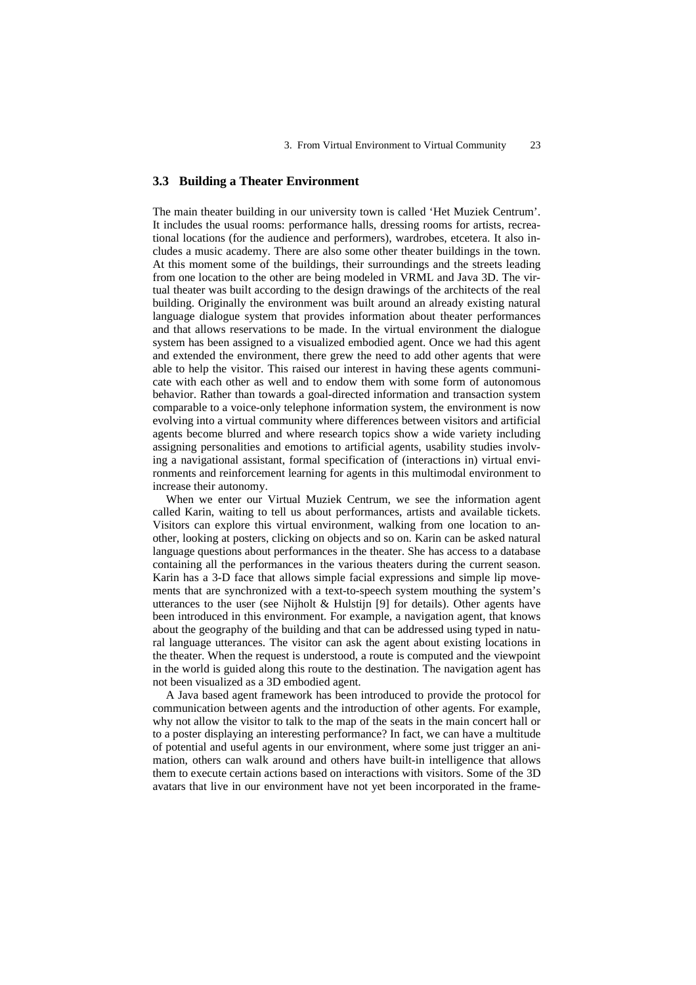#### **3.3 Building a Theater Environment**

The main theater building in our university town is called 'Het Muziek Centrum'. It includes the usual rooms: performance halls, dressing rooms for artists, recreational locations (for the audience and performers), wardrobes, etcetera. It also includes a music academy. There are also some other theater buildings in the town. At this moment some of the buildings, their surroundings and the streets leading from one location to the other are being modeled in VRML and Java 3D. The virtual theater was built according to the design drawings of the architects of the real building. Originally the environment was built around an already existing natural language dialogue system that provides information about theater performances and that allows reservations to be made. In the virtual environment the dialogue system has been assigned to a visualized embodied agent. Once we had this agent and extended the environment, there grew the need to add other agents that were able to help the visitor. This raised our interest in having these agents communicate with each other as well and to endow them with some form of autonomous behavior. Rather than towards a goal-directed information and transaction system comparable to a voice-only telephone information system, the environment is now evolving into a virtual community where differences between visitors and artificial agents become blurred and where research topics show a wide variety including assigning personalities and emotions to artificial agents, usability studies involving a navigational assistant, formal specification of (interactions in) virtual environments and reinforcement learning for agents in this multimodal environment to increase their autonomy.

When we enter our Virtual Muziek Centrum, we see the information agent called Karin, waiting to tell us about performances, artists and available tickets. Visitors can explore this virtual environment, walking from one location to another, looking at posters, clicking on objects and so on. Karin can be asked natural language questions about performances in the theater. She has access to a database containing all the performances in the various theaters during the current season. Karin has a 3-D face that allows simple facial expressions and simple lip movements that are synchronized with a text-to-speech system mouthing the system's utterances to the user (see Nijholt & Hulstijn [9] for details). Other agents have been introduced in this environment. For example, a navigation agent, that knows about the geography of the building and that can be addressed using typed in natural language utterances. The visitor can ask the agent about existing locations in the theater. When the request is understood, a route is computed and the viewpoint in the world is guided along this route to the destination. The navigation agent has not been visualized as a 3D embodied agent.

A Java based agent framework has been introduced to provide the protocol for communication between agents and the introduction of other agents. For example, why not allow the visitor to talk to the map of the seats in the main concert hall or to a poster displaying an interesting performance? In fact, we can have a multitude of potential and useful agents in our environment, where some just trigger an animation, others can walk around and others have built-in intelligence that allows them to execute certain actions based on interactions with visitors. Some of the 3D avatars that live in our environment have not yet been incorporated in the frame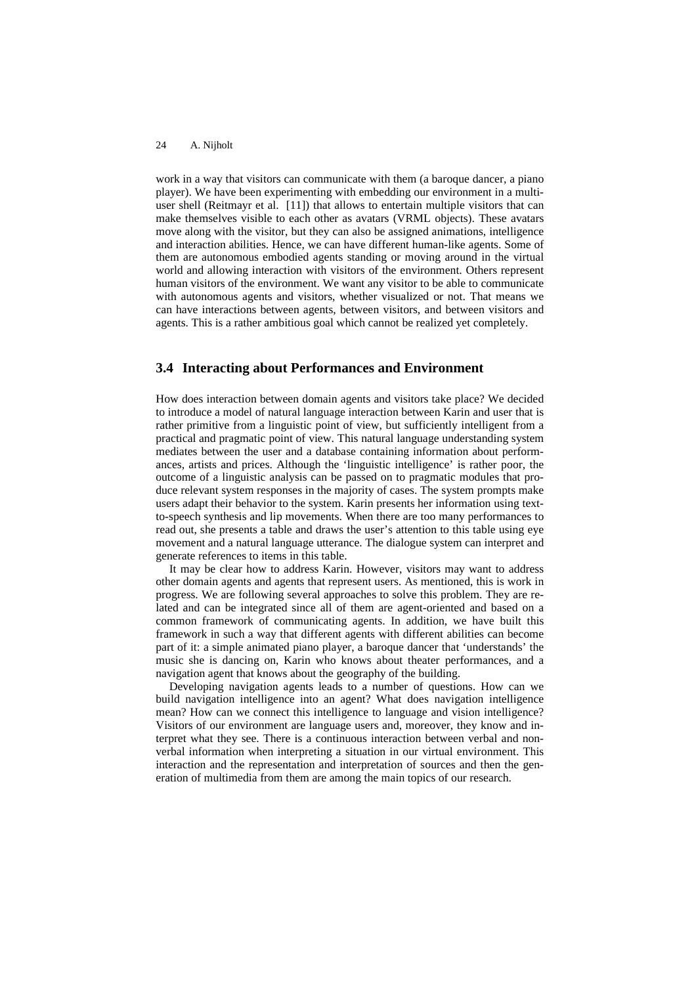work in a way that visitors can communicate with them (a baroque dancer, a piano player). We have been experimenting with embedding our environment in a multiuser shell (Reitmayr et al. [11]) that allows to entertain multiple visitors that can make themselves visible to each other as avatars (VRML objects). These avatars move along with the visitor, but they can also be assigned animations, intelligence and interaction abilities. Hence, we can have different human-like agents. Some of them are autonomous embodied agents standing or moving around in the virtual world and allowing interaction with visitors of the environment. Others represent human visitors of the environment. We want any visitor to be able to communicate with autonomous agents and visitors, whether visualized or not. That means we can have interactions between agents, between visitors, and between visitors and agents. This is a rather ambitious goal which cannot be realized yet completely.

## **3.4 Interacting about Performances and Environment**

How does interaction between domain agents and visitors take place? We decided to introduce a model of natural language interaction between Karin and user that is rather primitive from a linguistic point of view, but sufficiently intelligent from a practical and pragmatic point of view. This natural language understanding system mediates between the user and a database containing information about performances, artists and prices. Although the 'linguistic intelligence' is rather poor, the outcome of a linguistic analysis can be passed on to pragmatic modules that produce relevant system responses in the majority of cases. The system prompts make users adapt their behavior to the system. Karin presents her information using textto-speech synthesis and lip movements. When there are too many performances to read out, she presents a table and draws the user's attention to this table using eye movement and a natural language utterance. The dialogue system can interpret and generate references to items in this table.

It may be clear how to address Karin. However, visitors may want to address other domain agents and agents that represent users. As mentioned, this is work in progress. We are following several approaches to solve this problem. They are related and can be integrated since all of them are agent-oriented and based on a common framework of communicating agents. In addition, we have built this framework in such a way that different agents with different abilities can become part of it: a simple animated piano player, a baroque dancer that 'understands' the music she is dancing on, Karin who knows about theater performances, and a navigation agent that knows about the geography of the building.

Developing navigation agents leads to a number of questions. How can we build navigation intelligence into an agent? What does navigation intelligence mean? How can we connect this intelligence to language and vision intelligence? Visitors of our environment are language users and, moreover, they know and interpret what they see. There is a continuous interaction between verbal and nonverbal information when interpreting a situation in our virtual environment. This interaction and the representation and interpretation of sources and then the generation of multimedia from them are among the main topics of our research.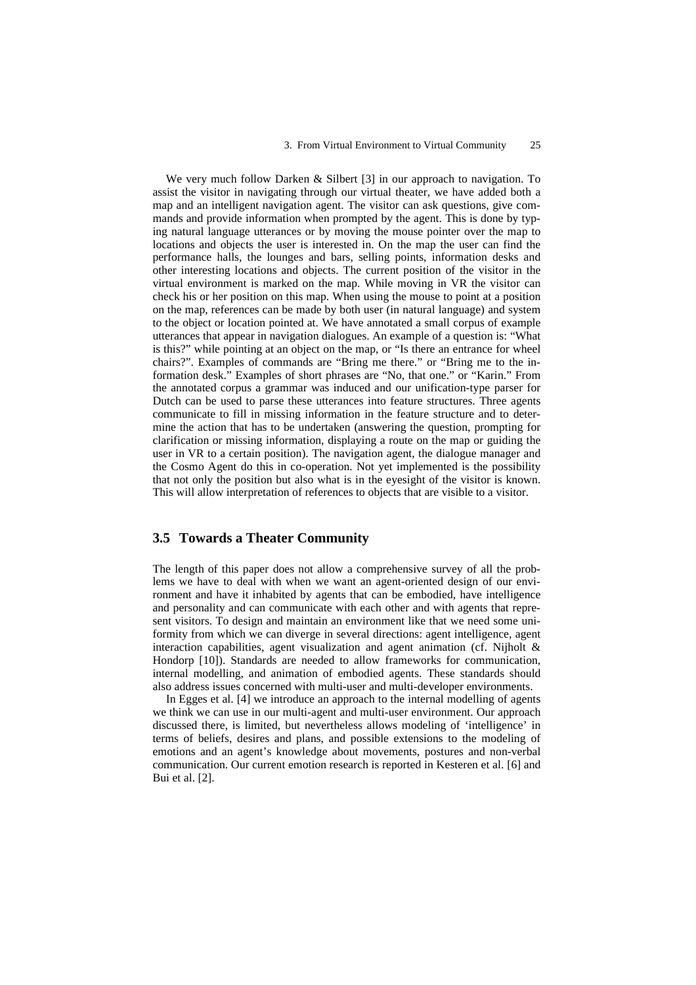We very much follow Darken & Silbert [3] in our approach to navigation. To assist the visitor in navigating through our virtual theater, we have added both a map and an intelligent navigation agent. The visitor can ask questions, give commands and provide information when prompted by the agent. This is done by typing natural language utterances or by moving the mouse pointer over the map to locations and objects the user is interested in. On the map the user can find the performance halls, the lounges and bars, selling points, information desks and other interesting locations and objects. The current position of the visitor in the virtual environment is marked on the map. While moving in VR the visitor can check his or her position on this map. When using the mouse to point at a position on the map, references can be made by both user (in natural language) and system to the object or location pointed at. We have annotated a small corpus of example utterances that appear in navigation dialogues. An example of a question is: "What is this?" while pointing at an object on the map, or "Is there an entrance for wheel chairs?". Examples of commands are "Bring me there." or "Bring me to the information desk." Examples of short phrases are "No, that one." or "Karin." From the annotated corpus a grammar was induced and our unification-type parser for Dutch can be used to parse these utterances into feature structures. Three agents communicate to fill in missing information in the feature structure and to determine the action that has to be undertaken (answering the question, prompting for clarification or missing information, displaying a route on the map or guiding the user in VR to a certain position). The navigation agent, the dialogue manager and the Cosmo Agent do this in co-operation. Not yet implemented is the possibility that not only the position but also what is in the eyesight of the visitor is known. This will allow interpretation of references to objects that are visible to a visitor.

### **3.5 Towards a Theater Community**

The length of this paper does not allow a comprehensive survey of all the problems we have to deal with when we want an agent-oriented design of our environment and have it inhabited by agents that can be embodied, have intelligence and personality and can communicate with each other and with agents that represent visitors. To design and maintain an environment like that we need some uniformity from which we can diverge in several directions: agent intelligence, agent interaction capabilities, agent visualization and agent animation (cf. Nijholt & Hondorp [10]). Standards are needed to allow frameworks for communication, internal modelling, and animation of embodied agents. These standards should also address issues concerned with multi-user and multi-developer environments.

In Egges et al. [4] we introduce an approach to the internal modelling of agents we think we can use in our multi-agent and multi-user environment. Our approach discussed there, is limited, but nevertheless allows modeling of 'intelligence' in terms of beliefs, desires and plans, and possible extensions to the modeling of emotions and an agent's knowledge about movements, postures and non-verbal communication. Our current emotion research is reported in Kesteren et al. [6] and Bui et al. [2].